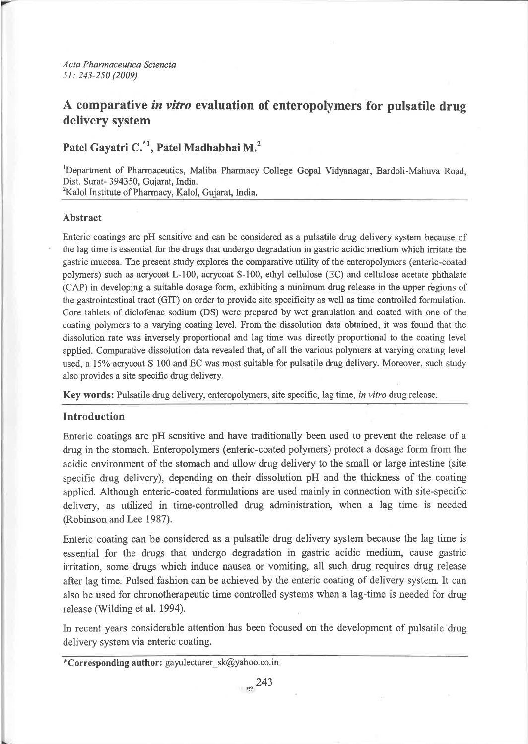# A comparative in vitro evaluation of enteropolymers for pulsatile drug delivery system

# Patel Gayatri C.<sup>\*1</sup>, Patel Madhabhai M.<sup>2</sup>

<sup>1</sup>Department of Pharmaceutics, Maliba Pharmacy College Gopal Vidyanagar, Bardoli-Mahuva Road, Dist. Surat- 394350, Gujarat, India. <sup>2</sup>Kalol Institute of Pharmacy, Kalol, Gujarat, India.

# **Abstract**

Enteric coatings are pH sensitive and can be considered as a pulsatile drug delivery system because of the lag time is essential for the drugs that undergo degradation in gastric acidic medium which irritate the gastric mucosa. The present study explores the comparative utility of the enteropolymers (enteric-coated polymers) such as acrycoat L-100, acrycoat S-100, ethyl cellulose (EC) and cellulose acetate phthalate (CAP) in developing a suitable dosage form, exhibiting a minimum drug release in the upper regions of the gastrointestinal tract (GIT) on order to provide site specificity as well as time controlled formulation. Core tablets of diclofenac sodium (DS) were prepared by wet granulation and coated with one of the coating polymers to a varying coating level. From the dissolution data obtained, it was found that the dissolution rate was inversely proportional and lag time was directly proportional to the coating level applied. Comparative dissolution data revealed that, of all the various polymers at varying coating level used, a 15% acrycoat S 100 and EC was most suitable for pulsatile drug delivery. Moreover, such study also provides a site specific drug delivery.

Key words: Pulsatile drug delivery, enteropolymers, site specific, lag time, in vitro drug release.

# **Introduction**

Enteric coatings are pH sensitive and have traditionally been used to prevent the release of a drug in the stomach. Enteropolymers (enteric-coated polymers) protect a dosage form from the acidic environment of the stomach and allow drug delivery to the small or large intestine (site specific drug delivery), depending on their dissolution pH and the thickness of the coating applied. Although enteric-coated formulations are used mainly in connection with site-specific delivery, as utilized in time-controlled drug administration, when a lag time is needed (Robinson and Lee 1987).

Enteric coating can be considered as a pulsatile drug delivery system because the lag time is essential for the drugs that undergo degradation in gastric acidic medium, cause gastric irritation, some drugs which induce nausea or vomiting, all such drug requires drug release after lag time. Pulsed fashion can be achieved by the enteric coating of delivery system. It can also be used for chronotherapeutic time controlled systems when a lag-time is needed for drug release (Wilding et al. 1994).

In recent years considerable attention has been focused on the development of pulsatile drug delivery system via enteric coating.

\*Corresponding author: gayulecturer  $sk@yahoo.co.in$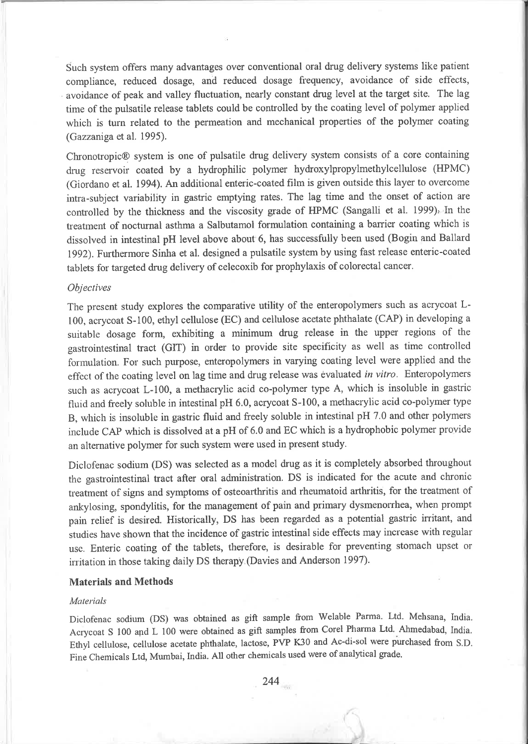Such system offers many advantages over conventional oral drug delivery systems like patient compliance, reduced dosage, and reduced dosage frequency, avoidance of side effects, avoidance of peak and valley fluctuation, nearly constant drug level at the target site. The lag time of the pulsatile release tablets could be controlled by the coating level of polymeı applied which is turn related to the permeation and mechanical properties of the polymer coating (Gazzanıga et al. 1995).

Chronotropic@ system is one of pulsatile drug delivery system consists of a core containing drug reservoir coated by a hydrophilic polymer hydroxylpropylmethylcellulose (HPMC) (Giordano et al. 1994). An additional enteric-coated film is given outside this layer to overcome intra-subject variability in gastric emptying rates. The lag time and the onset of action are conrrolled by the thickness and the viscosity grade of HPMC (Sangalli et al. 1999), In the treatııent of nocturnal asthma a Salbutamol formulation containing a baırier coating which is dissolved in intestinal pH level above about 6, has successfully been used (Bogin and Ballard 1992). Furthermore Sinha et al. designed a pulsatile system by using fast release enteric-coated tablets for targeted drug delivery of celecoxib for prophylaxis of colorectal cancer.

# **Objectives**

The present study explores the comparative utility of the enteropolymers such as acrycoat L-100, acrycoat 5-100, ethyl cellulose (EC) and cellulose acetate phthalate (CAP) in developing <sup>a</sup> suitable dosage form, exhibiting a minimum drug release in the upper regions of the gastrointestinal tract (GIT) in order to provide site specificity as well as time controlled formulation. For such purpose, enteropolymers in varying coating level were applied and the effect of the coating level on lag time and drug release was evaluated in vitro. Enteropolymers such as acrycoat L-100, a methacrylic acid co-polymer type A, which is insoluble in gastric fluid and freely soluble in intestinal pH 6.0, acrycoat 5-100, a methacrylic acid co-polymer type B, which is insoluble in gastric fluid and freely soluble in intestinal pH 7.0 and other polymers include CAP which is dissolved at a pH of 6.0 and EC which is a hydrophobic polymer provide an alternative polymer for such system were used in present study.

Diclofenac sodium (DS) was selected as a model drug as it is completely absorbed throughout the gastrointestinal tract after oral administration. DS is indicated for the acute and chronic treatment of signs and symptoms of osteoarthritis and rheumatoid arthritis, for the treatment of ankylosing, spondylitis, for the management of pain and primary dysmenorrhea, when prompt pain relief is desired. Historically, DS has been regarded as a potential gastric irritant, and studies have shown that the incidence of gastric intestinal side effects may increase with regular use. Enteric coating of the tablets, therefore, is desirable for preventing stomach upset or irritation in those taking daily DS therapy. (Davies and Anderson 1997).

# Materials and Methods

### Materials

Diclofenac sodium (DS) was obtained as gift sample from Welable Parma. Ltd. Mehsana, India. Acrycoat S 100 and L 100 were obtained as gift samples from Corel Pharma Ltd. Ahmedabad, India. Ethyl cellulose, cellulose acetate phthalate, lactose, PVP K30 and Ac-di-sol were purchased from S.D. Fine Chemiçals Ltd, Mumbai, India. All other chemicals used were of analytical grade.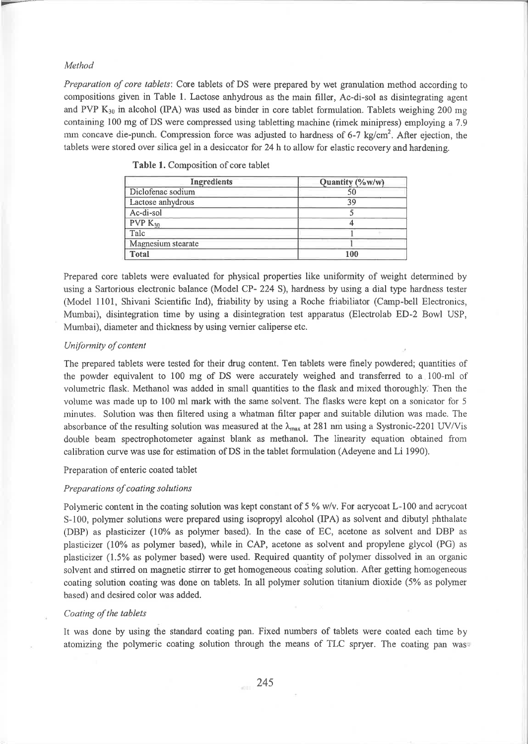# Method

Preparation of core tablets: Core tablets of DS were prepared by wet granulation method according to compositions given in Table 1. Lactose anhydrous as the main filler, Ac-di-sol as disintegrating agent and PVP  $K_{30}$  in alcohol (IPA) was used as binder in core tablet formulation. Tablets weighing 200 mg containing 100 mg of DS were compressed using tabletting machine (rimek minipress) employing a 7.9 mm concave die-punch. Compression force was adjusted to hardness of 6-7 kg/cm<sup>2</sup>. After ejection, the tablets were stored over silica gel in a desiccator for 24h to allow for elastic recovery andhardening.

| <b>Ingredients</b>  | Quantity (%w/w) |
|---------------------|-----------------|
| Diclofenac sodium   | 50              |
| Lactose anhydrous   | 39              |
| Ac-di-sol           |                 |
| PVP K <sub>30</sub> |                 |
| Talc                |                 |
| Magnesium stearate  |                 |
| <b>Total</b>        | 100             |

Table 1. Composition of core tablet

Prepared core tablets were evaluated for physical properties like uniformity of weight determined by using a Sartorious electronic balance (Model CP- 224 S), hardness by using a dial type hardness tester (Model 1101, Shivani Scientific Ind), friability by using a Roche friabiliator (Camp-bell Electronics, Mumbai), disintegration time by using a disintegration test apparatus (Electrolab ED-2 Bowl USP, Muınbai), diameter and thickness by using vernier caliperse etc.

## Uniformity of content

The prepared tablets were tested for their drug content. Ten tablets were fınely powdered; quantities of the powder equivalent to 100 mg of DS were accurately weighed and transferred to a 100-ml of voluınetric flask. Methanol was added in sınall quantities to the flask and ınixed thoroughly. Then the volume was made up to 100 ml mark with the same solvent. The flasks were kept on a sonicator for 5 minrıtes. Soltıtion was then filtered using a whatrnan filter paper and suitable dilution was made. The absorbance of the resulting solution was measured at the  $\lambda_{\text{max}}$  at 281 nm using a Systronic-2201 UV/Vis dorıble beam spectrophotometer against blank as methanol. The linearity equation obtained from calibration curve was use for estimation of DS in the tablet formulation (Adeyene and Li 1990).

## Preparation of enteric coated tablet

# Preparations of coating solutions

Polymeric content in the coating solution was kept constant of  $5\%$  w/v. For acrycoat L-100 and acrycoat S-100, polymer solutions were prepared using isopropyl alcohol (IPA) as solvent and dibutyl phthalate (DBP) as plasticizer (10% as polymer based). In the case of EC, acetone as solvent and DBP as plasticizer (10% as polymer based), while in CAP, acetone as solvent and propylene glycol (PG) as plasticizer (1.5% as polymer based) were used. Required quantity of polymer dissolved in an organic solvent and stirred on magnetic stirrer to get homogeneous coating solution. After getting homogeneous coating solution coating was done on tablets. In all polymer solution titanium dioxide (5% as polymer based) and desired color was added.

## Coating of the tablets

It was done by using the standard coating pan. Fixed numbers of tablets were coated each time by atomizing the polymeric coating solution through the means of TLC spryer. The coating pan was<sup>®</sup>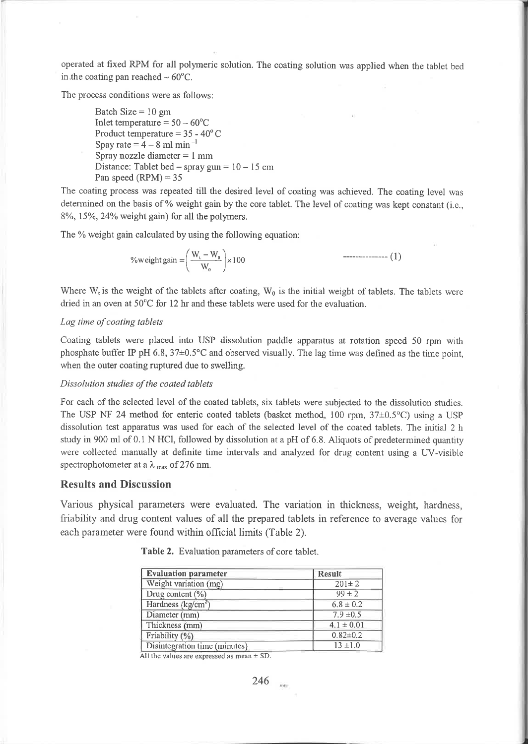operated at fixed RPM for all polyneric solution. The coating solution was applied when the tablet becl in.the coating pan reached  $\sim 60^{\circ}$ C.

The process conditions were as follows:

Batch Size  $= 10$  gm Inlet temperature  $= 50 - 60^{\circ}C$ Product temperature =  $35 - 40^{\circ}$ C Spay rate  $=$  4  $-$  8 ml min<sup>-1</sup> Spray nozzle diameter  $= 1$  mm Distance: Tablet bed – spray gun =  $10 - 15$  cm Pan speed  $(RPM) = 35$ 

The coating process was repeated till the desired level of coating was achieved. The coating level was deterııined on the basis of % weight gain by the core tablet. The level of coating was kept constant (i.e.,  $8\%$ , 15%, 24% weight gain) for all the polymers.

The % weight gain calculated by using the following equation:

$$
\% weight gain = \left(\frac{W_{i} - W_{0}}{W_{0}}\right) \times 100
$$

Where  $W_t$  is the weight of the tablets after coating,  $W_0$  is the initial weight of tablets. The tablets were dried in an oven at  $50^{\circ}$ C for 12 hr and these tablets were used for the evaluation.

#### Lag time of coating tablets

Coating tablets were placed into USP dissolution paddle apparatus at rotation speed 50 rpm with phosphate buffer IP pH 6.8,  $37\pm0.5^{\circ}$ C and observed visually. The lag time was defined as the time point, when the outer coating ruptured due to swelling.

#### Dissolution studies of the coated tablets

For each of the selected level of the coated tablets, six tablets were subjected to the dissolution studies. The USP NF 24 method for enteric coated tablets (basket method, 100 rpm,  $37\pm0.5$ °C) using a USP dissolution test apparatus was used for each of the selected level of the coated tablets. The initial 2 h study in 900 ml of 0.1 N HCl, followed by dissolution at a pH of 6.8. Aliquots of predetermined quantity were collected manually at definite time intervals and analyzed for drug content using a UV-visible spectrophotometer at a  $\lambda_{\text{max}}$  of 276 nm.

## Results and Discussion

Various physical paraıneters were evaluated. The variation in thickness, weight, hardness, friability and drug content values of all the prepared tablets in reference to average values for each parameter were found within official limits (Table 2).

| <b>Evaluation parameter</b>   | <b>Result</b>  |
|-------------------------------|----------------|
| Weight variation (mg)         | $201 \pm 2$    |
| Drug content (%)              | $99 \pm 2$     |
| Hardness ( $kg/cm2$ )         | $6.8 \pm 0.2$  |
| Diameter (mm)                 | $7.9 \pm 0.5$  |
| Thickness (mm)                | $4.1 \pm 0.01$ |
| Friability (%)                | $0.82 \pm 0.2$ |
| Disintegration time (minutes) | $13 \pm 1.0$   |

Table 2. Evaluation parameters of core tablet.

All the values are expressed as mean  $\pm$  SD.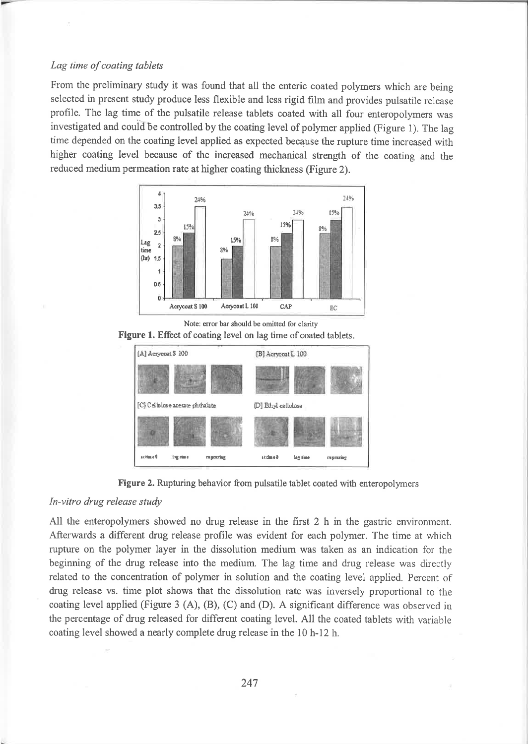# Lag time of coating tablets

From the preliminary study it was found that all the enteric coated polymers which are being selected in present study produce less flexible and less rigid film and provides pulsatile release profile. The lag time of the pulsatile release tablets coated with all four enteropolymers was investigated and couid be controlled by the coating level of polymer applied (Figure l). The lag time depended on the coating level applied as expected because the rupture time increased with higher coating level because of the increased mechanical strength of the coating and the reduced medium permeation rate at higher coating thickness (Figure 2).



Note: error bar should be omitted for clarity

Figure 1. Effect of coating level on lag time of coated tablets.





#### In-vitro drug release study

All the enteropolymers showed no drug release in the first  $2 h$  in the gastric environment. Afterwards a different drug release profile was evident for each polymer. The time at which rupture on the polymer layer in the dissolution medium was taken as an indication for the beginning of the drug release into the medium. The lag time and drug release was directly related to the concentration of polymer in solution and the coating level applied. Percent of drug release vs. time plot shows that the dissolution rate was inversely proportional to the coating level applied (Figure 3 (A), (B), (C) and (D). A significant difference was observed in the percentage of drug released for different coating level. All the coated tablets with variable coating level showed a nearly complete drug release in the 10 h-12 h.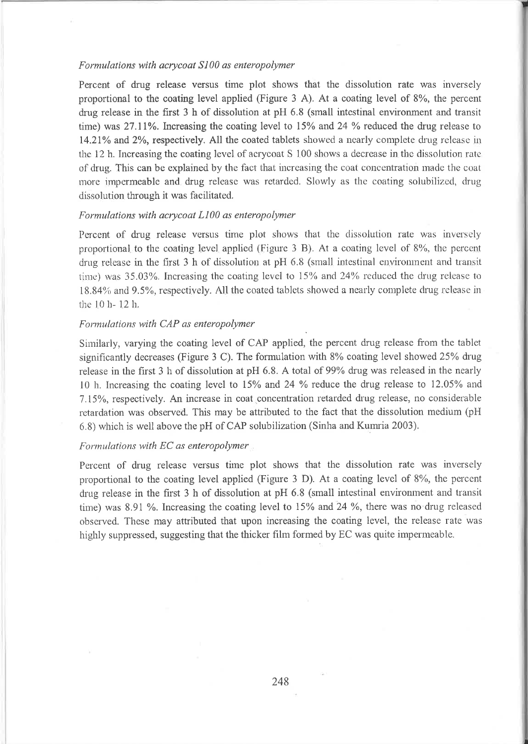# Formulations with acrycoat S100 as enteropolymer

Percent of drug release versus time plot shows that the dissolution rate was inversely proportional to the coating level applied (Figure 3 A). At a coating level of 8%, the percent drug release in the first 3 h of dissolution at pH 6.8 (small intestinal environment and transit time) was 27.11%. Increasing the coating level to 15% and 24 % reduced the drug release to 14.21% and 2%, respectively. All the coated tablets showed a nearly complete drug release in the 12 h. Increasing the coating level of acrycoat S 100 shows a decrease in the dissolution rate of drug. This can be explained by the fact that increasing the coat concentration made the coat more impermeable and drug release was retarded. Slowly as the coating solubilized, drug dissolution through it was facilitated.

## Formulations with acrycoat L100 as enteropolymer

Percent of drug release versus time plot shows that the dissolution rate was inversely proportional to the coating level applied (Figure 3 B). At a coating level of 8%, the percent drug release in the first 3 h of dissolution at pH 6.8 (small intestinal environment and transit time) was  $35.03\%$ . Increasing the coating level to 15% and 24% reduced the drug release to 18.84% and 9.5%, respectively. All the coated tablets showed a nearly complete drug release in the 10 h-12 h.

# Formulations with CAP as enteropolymer

Similarly, varying the coating level of CAP applied, the percent drug release from the tablet significantly decreases (Figure 3 C). The formulation with  $8\%$  coating level showed 25% drug release in the first 3 h of dissolution at pH 6.8. A total of 99% drug was released in the nearly 10 h. Increasing the coating level to 15% and 24 % reduce the drug release to 12.05% and 7.15%, respectively. An increase in coat concentration retarded drug release, no considerable retardation was observed. This may be attributed to the fact that the dissolution medium (pH) 6.8) which is well above the pH of CAP solubilization (Sinha and Kumria 2003).

# Formulations with EC as enteropolymer

Percent of drug release versus time plot shows that the dissolution rate was inversely proportional to the coating level applied (Figure 3 D). At a coating level of 8%, the percent drug release in the first  $3$  h of dissolution at pH  $6.8$  (small intestinal environment and transit time) was 8.91 %. Increasing the coating level to 15% and 24 %, there was no drug released observed. These may attributed that upon increasing the coating level, the release rate was highly suppressed, suggesting that the thicker film formed by EC was quite impermeable.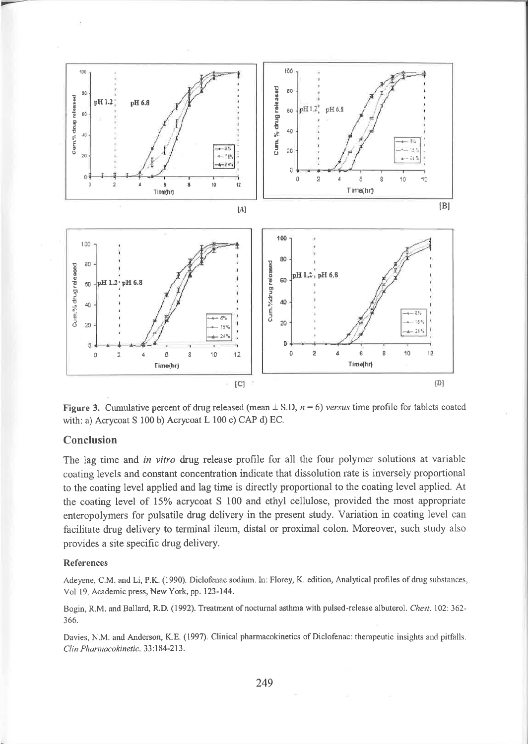

Figure 3. Cumulative percent of drug released (mean  $\pm$  S.D,  $n = 6$ ) versus time profile for tablets coated with: a) Acrycoat S 100 b) Acrycoat L 100 c) CAP d) EC.

# Conclusion

The lag time and in vitro drug release profile for all the four polymer solutions at variable coating levels and constant concentration indicate that dissolution rate is inversely proportional to the coating level applied and lag time is directly proportional to the coating level applied. At the coating level of 15% acrycoat S 100 and ethyl cellulose, provided the most appropriate enteropolymers for pulsatile drug delivery in the present study. Variation in coating level can facilitate drug delivery to terminal ileum, distal or proximal colon. Moreover, such study also provides a site specific drug delivery.

## **References**

Adeyene, C.M. and Li, P.K. (1990). Diclofenac sodium. In: Florey, K. edition, Analytical profiles of drug substances, Vol 19, Academic press, New York, pp. 123-144.

Bogin, R.M. and Ballard, R.D. (1992). Treatment of nocturnal asthma with pulsed-release albuterol. Chest. 102: 362-366.

Davies, N.M. and Anderson, K.E. (1997). Clinical pharmacokinetics of Diclofenac: therapeutic insights and pitfalls. Clin Pharmacokinetic. 33:184-213.